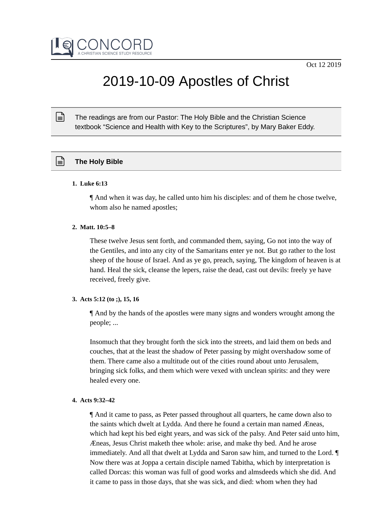

# 2019-10-09 Apostles of Christ

The readings are from our Pastor: The Holy Bible and the Christian Science textbook "Science and Health with Key to the Scriptures", by Mary Baker Eddy.

# **The Holy Bible**

## **1. Luke 6:13**

 $\mathbb{R}$ 

¶ And when it was day, he called unto him his disciples: and of them he chose twelve, whom also he named apostles;

## **2. Matt. 10:5–8**

These twelve Jesus sent forth, and commanded them, saying, Go not into the way of the Gentiles, and into any city of the Samaritans enter ye not. But go rather to the lost sheep of the house of Israel. And as ye go, preach, saying, The kingdom of heaven is at hand. Heal the sick, cleanse the lepers, raise the dead, cast out devils: freely ye have received, freely give.

# **3. Acts 5:12 (to ;), 15, 16**

¶ And by the hands of the apostles were many signs and wonders wrought among the people; ...

Insomuch that they brought forth the sick into the streets, and laid them on beds and couches, that at the least the shadow of Peter passing by might overshadow some of them. There came also a multitude out of the cities round about unto Jerusalem, bringing sick folks, and them which were vexed with unclean spirits: and they were healed every one.

# **4. Acts 9:32–42**

¶ And it came to pass, as Peter passed throughout all quarters, he came down also to the saints which dwelt at Lydda. And there he found a certain man named Æneas, which had kept his bed eight years, and was sick of the palsy. And Peter said unto him, Æneas, Jesus Christ maketh thee whole: arise, and make thy bed. And he arose immediately. And all that dwelt at Lydda and Saron saw him, and turned to the Lord. ¶ Now there was at Joppa a certain disciple named Tabitha, which by interpretation is called Dorcas: this woman was full of good works and almsdeeds which she did. And it came to pass in those days, that she was sick, and died: whom when they had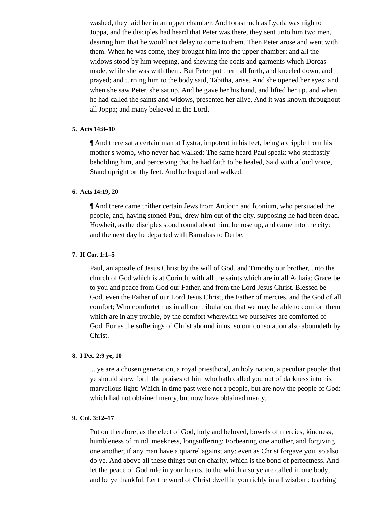washed, they laid her in an upper chamber. And forasmuch as Lydda was nigh to Joppa, and the disciples had heard that Peter was there, they sent unto him two men, desiring him that he would not delay to come to them. Then Peter arose and went with them. When he was come, they brought him into the upper chamber: and all the widows stood by him weeping, and shewing the coats and garments which Dorcas made, while she was with them. But Peter put them all forth, and kneeled down, and prayed; and turning him to the body said, Tabitha, arise. And she opened her eyes: and when she saw Peter, she sat up. And he gave her his hand, and lifted her up, and when he had called the saints and widows, presented her alive. And it was known throughout all Joppa; and many believed in the Lord.

## **5. Acts 14:8–10**

¶ And there sat a certain man at Lystra, impotent in his feet, being a cripple from his mother's womb, who never had walked: The same heard Paul speak: who stedfastly beholding him, and perceiving that he had faith to be healed, Said with a loud voice, Stand upright on thy feet. And he leaped and walked.

## **6. Acts 14:19, 20**

¶ And there came thither certain Jews from Antioch and Iconium, who persuaded the people, and, having stoned Paul, drew him out of the city, supposing he had been dead. Howbeit, as the disciples stood round about him, he rose up, and came into the city: and the next day he departed with Barnabas to Derbe.

#### **7. II Cor. 1:1–5**

Paul, an apostle of Jesus Christ by the will of God, and Timothy our brother, unto the church of God which is at Corinth, with all the saints which are in all Achaia: Grace be to you and peace from God our Father, and from the Lord Jesus Christ. Blessed be God, even the Father of our Lord Jesus Christ, the Father of mercies, and the God of all comfort; Who comforteth us in all our tribulation, that we may be able to comfort them which are in any trouble, by the comfort wherewith we ourselves are comforted of God. For as the sufferings of Christ abound in us, so our consolation also aboundeth by Christ.

# **8. I Pet. 2:9 ye, 10**

... ye are a chosen generation, a royal priesthood, an holy nation, a peculiar people; that ye should shew forth the praises of him who hath called you out of darkness into his marvellous light: Which in time past were not a people, but are now the people of God: which had not obtained mercy, but now have obtained mercy.

## **9. Col. 3:12–17**

Put on therefore, as the elect of God, holy and beloved, bowels of mercies, kindness, humbleness of mind, meekness, longsuffering; Forbearing one another, and forgiving one another, if any man have a quarrel against any: even as Christ forgave you, so also do ye. And above all these things put on charity, which is the bond of perfectness. And let the peace of God rule in your hearts, to the which also ye are called in one body; and be ye thankful. Let the word of Christ dwell in you richly in all wisdom; teaching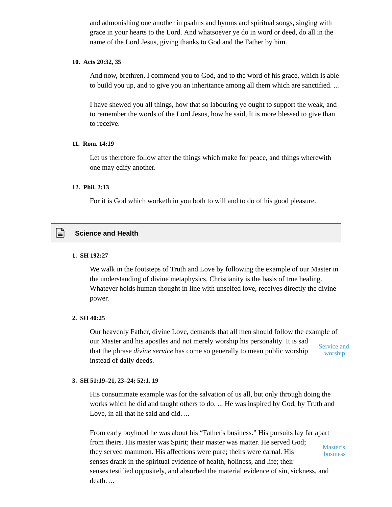and admonishing one another in psalms and hymns and spiritual songs, singing with grace in your hearts to the Lord. And whatsoever ye do in word or deed, do all in the name of the Lord Jesus, giving thanks to God and the Father by him.

# **10. Acts 20:32, 35**

And now, brethren, I commend you to God, and to the word of his grace, which is able to build you up, and to give you an inheritance among all them which are sanctified. ...

I have shewed you all things, how that so labouring ye ought to support the weak, and to remember the words of the Lord Jesus, how he said, It is more blessed to give than to receive.

# **11. Rom. 14:19**

Let us therefore follow after the things which make for peace, and things wherewith one may edify another.

# **12. Phil. 2:13**

For it is God which worketh in you both to will and to do of his good pleasure.

# **Science and Health**

# **1. SH 192:27**

We walk in the footsteps of Truth and Love by following the example of our Master in the understanding of divine metaphysics. Christianity is the basis of true healing. Whatever holds human thought in line with unselfed love, receives directly the divine power.

# **2. SH 40:25**

Our heavenly Father, divine Love, demands that all men should follow the example of our Master and his apostles and not merely worship his personality. It is sad that the phrase *divine service* has come so generally to mean public worship instead of daily deeds. Service and worship

# **3. SH 51:19–21, 23–24; 52:1, 19**

His consummate example was for the salvation of us all, but only through doing the works which he did and taught others to do. ... He was inspired by God, by Truth and Love, in all that he said and did. ...

From early boyhood he was about his "Father's business." His pursuits lay far apart from theirs. His master was Spirit; their master was matter. He served God; they served mammon. His affections were pure; theirs were carnal. His senses drank in the spiritual evidence of health, holiness, and life; their senses testified oppositely, and absorbed the material evidence of sin, sickness, and death. ... Master's business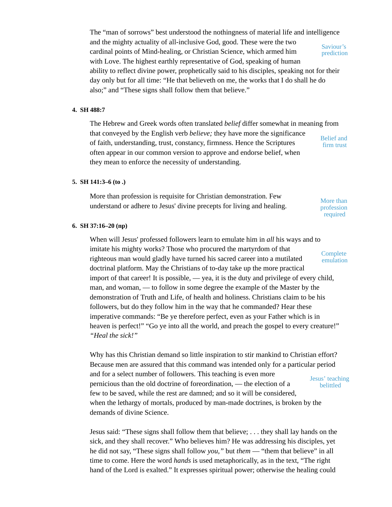The "man of sorrows" best understood the nothingness of material life and intelligence and the mighty actuality of all-inclusive God, good. These were the two cardinal points of Mind-healing, or Christian Science, which armed him with Love. The highest earthly representative of God, speaking of human ability to reflect divine power, prophetically said to his disciples, speaking not for their day only but for all time: "He that believeth on me, the works that I do shall he do also;" and "These signs shall follow them that believe." Saviour's prediction

# **4. SH 488:7**

The Hebrew and Greek words often translated *belief* differ somewhat in meaning from that conveyed by the English verb *believe;* they have more the significance of faith, understanding, trust, constancy, firmness. Hence the Scriptures often appear in our common version to approve and endorse belief, when they mean to enforce the necessity of understanding. Belief and firm trust

## **5. SH 141:3–6 (to .)**

More than profession is requisite for Christian demonstration. Few understand or adhere to Jesus' divine precepts for living and healing. More than

profession required

## **6. SH 37:16–20 (np)**

When will Jesus' professed followers learn to emulate him in *all* his ways and to imitate his mighty works? Those who procured the martyrdom of that righteous man would gladly have turned his sacred career into a mutilated doctrinal platform. May the Christians of to-day take up the more practical import of that career! It is possible, — yea, it is the duty and privilege of every child, man, and woman, — to follow in some degree the example of the Master by the demonstration of Truth and Life, of health and holiness. Christians claim to be his followers, but do they follow him in the way that he commanded? Hear these imperative commands: "Be ye therefore perfect, even as your Father which is in heaven is perfect!" "Go ye into all the world, and preach the gospel to every creature!" *"Heal the sick!"* **Complete** emulation

Why has this Christian demand so little inspiration to stir mankind to Christian effort? Because men are assured that this command was intended only for a particular period and for a select number of followers. This teaching is even more pernicious than the old doctrine of foreordination, — the election of a few to be saved, while the rest are damned; and so it will be considered, when the lethargy of mortals, produced by man-made doctrines, is broken by the demands of divine Science. Jesus' teaching belittled

Jesus said: "These signs shall follow them that believe; . . . they shall lay hands on the sick, and they shall recover." Who believes him? He was addressing his disciples, yet he did not say, "These signs shall follow *you,"* but *them* — "them that believe" in all time to come. Here the word *hands* is used metaphorically, as in the text, "The right hand of the Lord is exalted." It expresses spiritual power; otherwise the healing could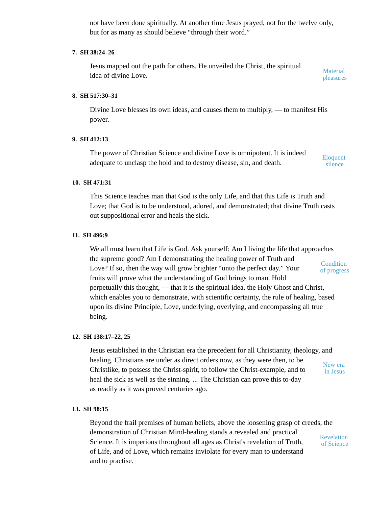not have been done spiritually. At another time Jesus prayed, not for the twelve only, but for as many as should believe "through their word."

## **7. SH 38:24–26**

Jesus mapped out the path for others. He unveiled the Christ, the spiritual idea of divine Love.

**Material** pleasures

## **8. SH 517:30–31**

Divine Love blesses its own ideas, and causes them to multiply, — to manifest His power.

## **9. SH 412:13**

The power of Christian Science and divine Love is omnipotent. It is indeed adequate to unclasp the hold and to destroy disease, sin, and death.

Eloquent silence

# **10. SH 471:31**

This Science teaches man that God is the only Life, and that this Life is Truth and Love; that God is to be understood, adored, and demonstrated; that divine Truth casts out suppositional error and heals the sick.

## **11. SH 496:9**

We all must learn that Life is God. Ask yourself: Am I living the life that approaches the supreme good? Am I demonstrating the healing power of Truth and Love? If so, then the way will grow brighter "unto the perfect day." Your fruits will prove what the understanding of God brings to man. Hold perpetually this thought, — that it is the spiritual idea, the Holy Ghost and Christ, which enables you to demonstrate, with scientific certainty, the rule of healing, based upon its divine Principle, Love, underlying, overlying, and encompassing all true being. **Condition** of progress

#### **12. SH 138:17–22, 25**

Jesus established in the Christian era the precedent for all Christianity, theology, and healing. Christians are under as direct orders now, as they were then, to be Christlike, to possess the Christ-spirit, to follow the Christ-example, and to heal the sick as well as the sinning. ... The Christian can prove this to-day as readily as it was proved centuries ago. New era in Jesus

#### **13. SH 98:15**

Beyond the frail premises of human beliefs, above the loosening grasp of creeds, the demonstration of Christian Mind-healing stands a revealed and practical Science. It is imperious throughout all ages as Christ's revelation of Truth, of Life, and of Love, which remains inviolate for every man to understand and to practise. Revelation of Science